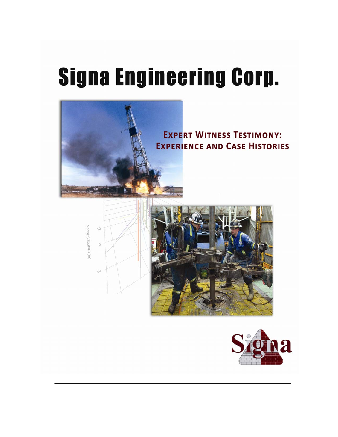# **Signa Engineering Corp.**

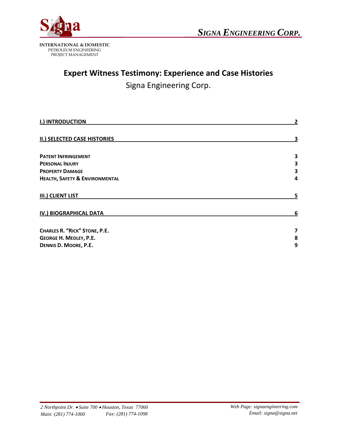

### **Expert Witness Testimony: Experience and Case Histories**

Signa Engineering Corp.

| <b>I.) INTRODUCTION</b>                   | $\overline{2}$ |
|-------------------------------------------|----------------|
| <b>II.) SELECTED CASE HISTORIES</b>       | 3              |
| <b>PATENT INFRINGEMENT</b>                | 3              |
| <b>PERSONAL INJURY</b>                    | 3              |
| <b>PROPERTY DAMAGE</b>                    | 3              |
| <b>HEALTH, SAFETY &amp; ENVIRONMENTAL</b> | 4              |
| <b>III.) CLIENT LIST</b>                  | 5              |
| IV.) BIOGRAPHICAL DATA                    | 6              |
| <b>CHARLES R. "RICK" STONE, P.E.</b>      | 7              |
| <b>GEORGE H. MEDLEY, P.E.</b>             | 8              |
| DENNIS D. MOORE, P.E.                     | 9              |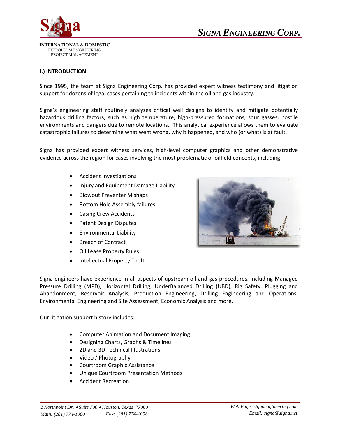

#### **I.) INTRODUCTION**

Since 1995, the team at Signa Engineering Corp. has provided expert witness testimony and litigation support for dozens of legal cases pertaining to incidents within the oil and gas industry.

Signa's engineering staff routinely analyzes critical well designs to identify and mitigate potentially hazardous drilling factors, such as high temperature, high-pressured formations, sour gasses, hostile environments and dangers due to remote locations. This analytical experience allows them to evaluate catastrophic failures to determine what went wrong, why it happened, and who (or what) is at fault.

Signa has provided expert witness services, high‐level computer graphics and other demonstrative evidence across the region for cases involving the most problematic of oilfield concepts, including:

- Accident Investigations
- Injury and Equipment Damage Liability
- Blowout Preventer Mishaps
- Bottom Hole Assembly failures
- Casing Crew Accidents
- Patent Design Disputes
- Environmental Liability
- Breach of Contract
- Oil Lease Property Rules
- Intellectual Property Theft



Signa engineers have experience in all aspects of upstream oil and gas procedures, including Managed Pressure Drilling (MPD), Horizontal Drilling, UnderBalanced Drilling (UBD), Rig Safety, Plugging and Abandonment, Reservoir Analysis, Production Engineering, Drilling Engineering and Operations, Environmental Engineering and Site Assessment, Economic Analysis and more.

Our litigation support history includes:

- Computer Animation and Document Imaging
- Designing Charts, Graphs & Timelines
- 2D and 3D Technical Illustrations
- Video / Photography
- Courtroom Graphic Assistance
- Unique Courtroom Presentation Methods
- Accident Recreation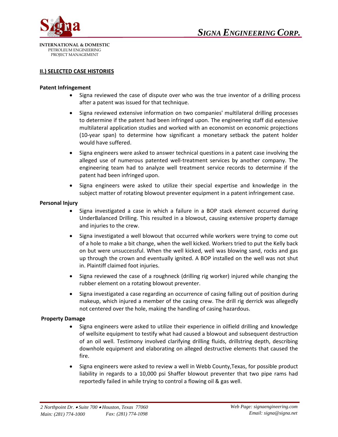

#### **II.) SELECTED CASE HISTORIES**

#### **Patent Infringement**

- Signa reviewed the case of dispute over who was the true inventor of a drilling process after a patent was issued for that technique.
- Signa reviewed extensive information on two companies' multilateral drilling processes to determine if the patent had been infringed upon. The engineering staff did extensive multilateral application studies and worked with an economist on economic projections (10‐year span) to determine how significant a monetary setback the patent holder would have suffered.
- Signa engineers were asked to answer technical questions in a patent case involving the alleged use of numerous patented well-treatment services by another company. The engineering team had to analyze well treatment service records to determine if the patent had been infringed upon.
- Signa engineers were asked to utilize their special expertise and knowledge in the subject matter of rotating blowout preventer equipment in a patent infringement case.

#### **Personal Injury**

- Signa investigated a case in which a failure in a BOP stack element occurred during UnderBalanced Drilling. This resulted in a blowout, causing extensive property damage and injuries to the crew.
- Signa investigated a well blowout that occurred while workers were trying to come out of a hole to make a bit change, when the well kicked. Workers tried to put the Kelly back on but were unsuccessful. When the well kicked, well was blowing sand, rocks and gas up through the crown and eventually ignited. A BOP installed on the well was not shut in. Plaintiff claimed foot injuries.
- Signa reviewed the case of a roughneck (drilling rig worker) injured while changing the rubber element on a rotating blowout preventer.
- Signa investigated a case regarding an occurrence of casing falling out of position during makeup, which injured a member of the casing crew. The drill rig derrick was allegedly not centered over the hole, making the handling of casing hazardous.

#### **Property Damage**

- Signa engineers were asked to utilize their experience in oilfield drilling and knowledge of wellsite equipment to testify what had caused a blowout and subsequent destruction of an oil well. Testimony involved clarifying drilling fluids, drillstring depth, describing downhole equipment and elaborating on alleged destructive elements that caused the fire.
- Signa engineers were asked to review a well in Webb County,Texas, for possible product liability in regards to a 10,000 psi Shaffer blowout preventer that two pipe rams had reportedly failed in while trying to control a flowing oil & gas well.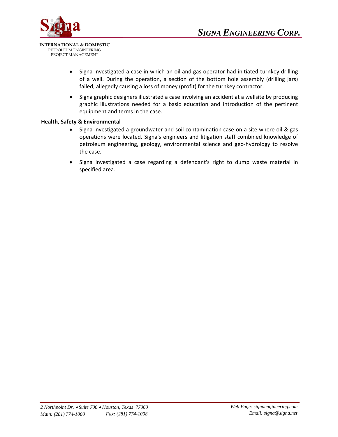

- Signa investigated a case in which an oil and gas operator had initiated turnkey drilling of a well. During the operation, a section of the bottom hole assembly (drilling jars) failed, allegedly causing a loss of money (profit) for the turnkey contractor.
- Signa graphic designers illustrated a case involving an accident at a wellsite by producing graphic illustrations needed for a basic education and introduction of the pertinent equipment and terms in the case.

#### **Health, Safety & Environmental**

- Signa investigated a groundwater and soil contamination case on a site where oil & gas operations were located. Signa's engineers and litigation staff combined knowledge of petroleum engineering, geology, environmental science and geo‐hydrology to resolve the case.
- Signa investigated a case regarding a defendant's right to dump waste material in specified area.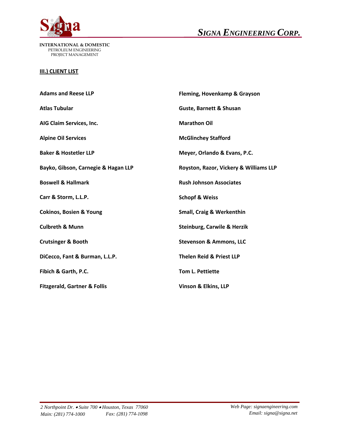

**INTERNATIONAL & DOMESTIC**  PETROLEUM ENGINEERING PROJECT MANAGEMENT

#### **III.) CLIENT LIST**

| <b>Adams and Reese LLP</b>              | Fleming, Hovenkamp & Grayson           |
|-----------------------------------------|----------------------------------------|
| <b>Atlas Tubular</b>                    | <b>Guste, Barnett &amp; Shusan</b>     |
| AIG Claim Services, Inc.                | <b>Marathon Oil</b>                    |
| <b>Alpine Oil Services</b>              | <b>McGlinchey Stafford</b>             |
| <b>Baker &amp; Hostetler LLP</b>        | Meyer, Orlando & Evans, P.C.           |
| Bayko, Gibson, Carnegie & Hagan LLP     | Royston, Razor, Vickery & Williams LLP |
| <b>Boswell &amp; Hallmark</b>           | <b>Rush Johnson Associates</b>         |
| Carr & Storm, L.L.P.                    | <b>Schopf &amp; Weiss</b>              |
| <b>Cokinos, Bosien &amp; Young</b>      | <b>Small, Craig &amp; Werkenthin</b>   |
| <b>Culbreth &amp; Munn</b>              | Steinburg, Carwile & Herzik            |
| <b>Crutsinger &amp; Booth</b>           | <b>Stevenson &amp; Ammons, LLC</b>     |
| DiCecco, Fant & Burman, L.L.P.          | <b>Thelen Reid &amp; Priest LLP</b>    |
| Fibich & Garth, P.C.                    | Tom L. Pettiette                       |
| <b>Fitzgerald, Gartner &amp; Follis</b> | Vinson & Elkins, LLP                   |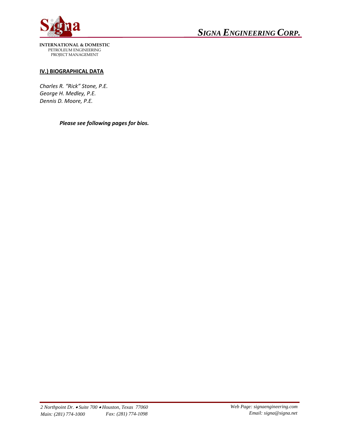

**INTERNATIONAL & DOMESTIC**  PETROLEUM ENGINEERING PROJECT MANAGEMENT

#### **IV.) BIOGRAPHICAL DATA**

*Charles R. "Rick" Stone, P.E. George H. Medley, P.E. Dennis D. Moore, P.E.*

*Please see following pages for bios.*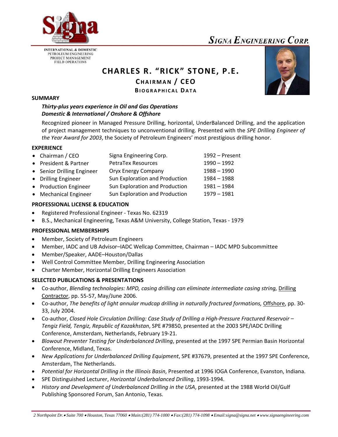

**INTERNATIONAL & DOMESTIC** PETROLEUM ENGINEERING PROJECT MANAGEMENT **FIELD OPERATIONS** 

# **CHARLES R. "RICK" STONE, P.E.**

**CHAIRMAN / CEO**

**BIOGRAPHICAL DATA**

#### **SUMMARY**

#### *Thirty‐plus years experience in Oil and Gas Operations Domestic & International / Onshore & Offshore*

Recognized pioneer in Managed Pressure Drilling, horizontal, UnderBalanced Drilling, and the application of project management techniques to unconventional drilling. Presented with the *SPE Drilling Engineer of the Year Award for 2003*, the Society of Petroleum Engineers' most prestigious drilling honor.

#### **EXPERIENCE**

| • Chairman / CEO           | Signa Engineering Corp.        | 1992 – Present |
|----------------------------|--------------------------------|----------------|
| • President & Partner      | <b>PetraTex Resources</b>      | 1990 - 1992    |
| • Senior Drilling Engineer | <b>Oryx Energy Company</b>     | $1988 - 1990$  |
| • Drilling Engineer        | Sun Exploration and Production | 1984 - 1988    |
| • Production Engineer      | Sun Exploration and Production | 1981 - 1984    |
| • Mechanical Engineer      | Sun Exploration and Production | $1979 - 1981$  |

#### **PROFESSIONAL LICENSE & EDUCATION**

- Registered Professional Engineer ‐ Texas No. 62319
- B.S., Mechanical Engineering, Texas A&M University, College Station, Texas ‐ 1979

#### **PROFESSIONAL MEMBERSHIPS**

- Member, Society of Petroleum Engineers
- Member, IADC and UB Advisor–IADC Wellcap Committee, Chairman IADC MPD Subcommittee
- Member/Speaker, AADE–Houston/Dallas
- Well Control Committee Member, Drilling Engineering Association
- Charter Member, Horizontal Drilling Engineers Association

#### **SELECTED PUBLICATIONS & PRESENTATIONS**

- Co‐author, *Blending technologies: MPD, casing drilling can eliminate intermediate casing string,* Drilling Contractor, pp. 55‐57, May/June 2006.
- Co‐author, *The benefits of light annular mudcap drilling in naturally fractured formations,* Offshore, pp. 30‐ 33, July 2004.
- Co‐author, *Closed Hole Circulation Drilling: Case Study of Drilling a High‐Pressure Fractured Reservoir – Tengiz Field, Tengiz, Republic of Kazakhstan*, SPE #79850, presented at the 2003 SPE/IADC Drilling Conference, Amsterdam, Netherlands, February 19‐21.
- *Blowout Preventer Testing for Underbalanced Drilling*, presented at the 1997 SPE Permian Basin Horizontal Conference, Midland, Texas.
- *New Applications for Underbalanced Drilling Equipment*, SPE #37679, presented at the 1997 SPE Conference, Amsterdam, The Netherlands.
- *Potential for Horizontal Drilling in the Illinois Basin*, Presented at 1996 IOGA Conference, Evanston, Indiana.
- SPE Distinguished Lecturer, *Horizontal Underbalanced Drilling*, 1993‐1994.
- *History and Development of Underbalanced Drilling in the USA*, presented at the 1988 World Oil/Gulf Publishing Sponsored Forum, San Antonio, Texas.



*2 Northpoint Dr.*• *Suite 700* • *Houston, Texas 77060* • *Main:(281) 774-1000* • *Fax:(281) 774-1098* • *Email:signa@signa.net* • *www.signaengineering.com*